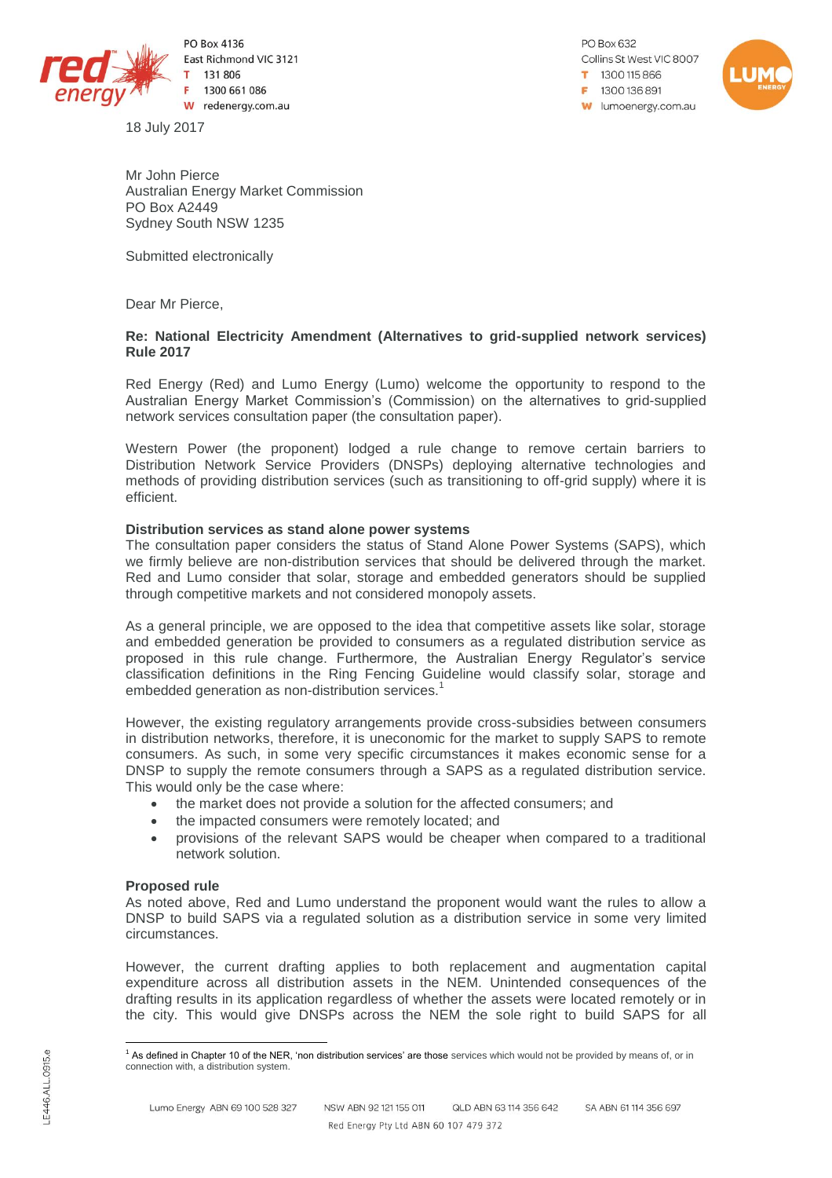

PO Box 4136 East Richmond VIC 3121 131 806 1300 661 086 W redenergy.com.au

18 July 2017

PO Box 632 Collins St West VIC 8007 1300115866  $= 1300136891$ **W** lumoenergy.com.au



Mr John Pierce Australian Energy Market Commission PO Box A2449 Sydney South NSW 1235

Submitted electronically

Dear Mr Pierce,

# **Re: National Electricity Amendment (Alternatives to grid-supplied network services) Rule 2017**

Red Energy (Red) and Lumo Energy (Lumo) welcome the opportunity to respond to the Australian Energy Market Commission's (Commission) on the alternatives to grid-supplied network services consultation paper (the consultation paper).

Western Power (the proponent) lodged a rule change to remove certain barriers to Distribution Network Service Providers (DNSPs) deploying alternative technologies and methods of providing distribution services (such as transitioning to off-grid supply) where it is efficient.

# **Distribution services as stand alone power systems**

The consultation paper considers the status of Stand Alone Power Systems (SAPS), which we firmly believe are non-distribution services that should be delivered through the market. Red and Lumo consider that solar, storage and embedded generators should be supplied through competitive markets and not considered monopoly assets.

As a general principle, we are opposed to the idea that competitive assets like solar, storage and embedded generation be provided to consumers as a regulated distribution service as proposed in this rule change. Furthermore, the Australian Energy Regulator's service classification definitions in the Ring Fencing Guideline would classify solar, storage and embedded generation as non-distribution services.<sup>1</sup>

However, the existing regulatory arrangements provide cross-subsidies between consumers in distribution networks, therefore, it is uneconomic for the market to supply SAPS to remote consumers. As such, in some very specific circumstances it makes economic sense for a DNSP to supply the remote consumers through a SAPS as a regulated distribution service. This would only be the case where:

- the market does not provide a solution for the affected consumers; and
- the impacted consumers were remotely located; and
- provisions of the relevant SAPS would be cheaper when compared to a traditional network solution.

## **Proposed rule**

As noted above, Red and Lumo understand the proponent would want the rules to allow a DNSP to build SAPS via a regulated solution as a distribution service in some very limited circumstances.

However, the current drafting applies to both replacement and augmentation capital expenditure across all distribution assets in the NEM. Unintended consequences of the drafting results in its application regardless of whether the assets were located remotely or in the city. This would give DNSPs across the NEM the sole right to build SAPS for all

 $\overline{a}$ <sup>1</sup> As defined in Chapter 10 of the NER, 'non distribution services' are those services which would not be provided by means of, or in connection with, a distribution system.